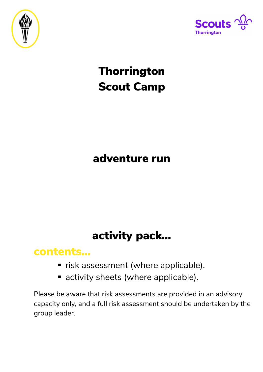



# **Thorrington** Scout Camp

## adventure run

## activity pack…

### contents…

- **F** risk assessment (where applicable).
- activity sheets (where applicable).

Please be aware that risk assessments are provided in an advisory capacity only, and a full risk assessment should be undertaken by the group leader.